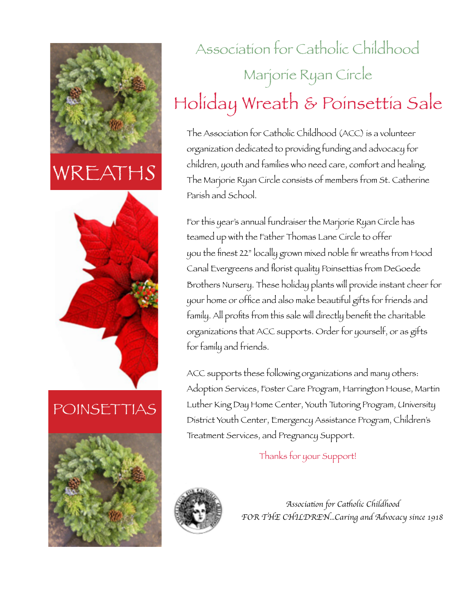

### WREATH*S*



#### POINSETTIAS



# Association for Catholic Childhood Marjorie Ryan Circle Holiday Wreath & Poinsettia Sale

The Association for Catholic Childhood (ACC) is a volunteer organization dedicated to providing funding and advocacy for children, youth and families who need care, comfort and healing. The Marjorie Ryan Circle consists of members from St. Catherine Parish and School.

For this year's annual fundraiser the Marjorie Ryan Circle has teamed up with the Father Thomas Lane Circle to offer you the finest 22" locally grown mixed noble fir wreaths from Hood Canal Evergreens and florist quality Poinsettias from DeGoede Brothers Nursery. These holiday plants will provide instant cheer for your home or office and also make beautiful gifts for friends and family. All profits from this sale will directly benefit the charitable organizations that ACC supports. Order for yourself, or as gifts for family and friends.

ACC supports these following organizations and many others: Adoption Services, Foster Care Program, Harrington House, Martin Luther King Day Home Center, Youth Tutoring Program, University District Youth Center, Emergency Assistance Program, Children's Treatment Services, and Pregnancy Support.

Thanks for your Support!



*Associa*t*on for Ca*t*olic Childhood FOR THE CHILDREN...Caring and Advocacy since 1918*